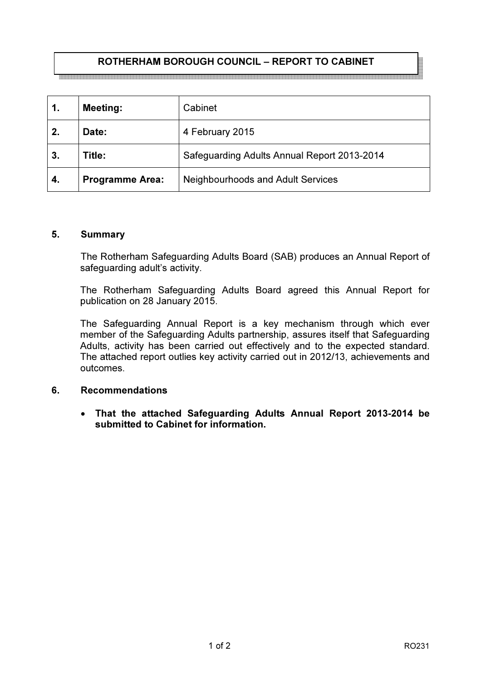# ROTHERHAM BOROUGH COUNCIL – REPORT TO CABINET

| 1. | <b>Meeting:</b>        | Cabinet                                     |
|----|------------------------|---------------------------------------------|
| 2. | Date:                  | 4 February 2015                             |
| 3. | Title:                 | Safeguarding Adults Annual Report 2013-2014 |
| 4. | <b>Programme Area:</b> | <b>Neighbourhoods and Adult Services</b>    |

#### 5. Summary

 The Rotherham Safeguarding Adults Board (SAB) produces an Annual Report of safeguarding adult's activity.

The Rotherham Safeguarding Adults Board agreed this Annual Report for publication on 28 January 2015.

The Safeguarding Annual Report is a key mechanism through which ever member of the Safeguarding Adults partnership, assures itself that Safeguarding Adults, activity has been carried out effectively and to the expected standard. The attached report outlies key activity carried out in 2012/13, achievements and outcomes.

## 6. Recommendations

• That the attached Safeguarding Adults Annual Report 2013-2014 be submitted to Cabinet for information.